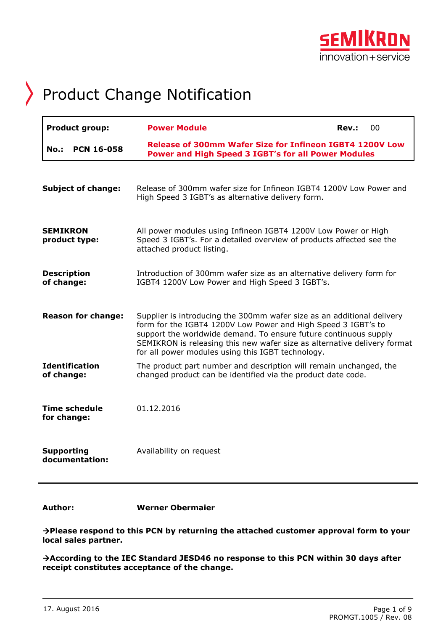

# Product Change Notification

| <b>Product group:</b>               | <b>Power Module</b>                                                                                                                                                                                                                                                                                                                          | Rev.: | 00 |
|-------------------------------------|----------------------------------------------------------------------------------------------------------------------------------------------------------------------------------------------------------------------------------------------------------------------------------------------------------------------------------------------|-------|----|
| <b>PCN 16-058</b><br>No.:           | <b>Release of 300mm Wafer Size for Infineon IGBT4 1200V Low</b><br><b>Power and High Speed 3 IGBT's for all Power Modules</b>                                                                                                                                                                                                                |       |    |
| <b>Subject of change:</b>           | Release of 300mm wafer size for Infineon IGBT4 1200V Low Power and<br>High Speed 3 IGBT's as alternative delivery form.                                                                                                                                                                                                                      |       |    |
| <b>SEMIKRON</b><br>product type:    | All power modules using Infineon IGBT4 1200V Low Power or High<br>Speed 3 IGBT's. For a detailed overview of products affected see the<br>attached product listing.                                                                                                                                                                          |       |    |
| <b>Description</b><br>of change:    | Introduction of 300mm wafer size as an alternative delivery form for<br>IGBT4 1200V Low Power and High Speed 3 IGBT's.                                                                                                                                                                                                                       |       |    |
| <b>Reason for change:</b>           | Supplier is introducing the 300mm wafer size as an additional delivery<br>form for the IGBT4 1200V Low Power and High Speed 3 IGBT's to<br>support the worldwide demand. To ensure future continuous supply<br>SEMIKRON is releasing this new wafer size as alternative delivery format<br>for all power modules using this IGBT technology. |       |    |
| <b>Identification</b><br>of change: | The product part number and description will remain unchanged, the<br>changed product can be identified via the product date code.                                                                                                                                                                                                           |       |    |
| <b>Time schedule</b><br>for change: | 01.12.2016                                                                                                                                                                                                                                                                                                                                   |       |    |
| <b>Supporting</b><br>documentation: | Availability on request                                                                                                                                                                                                                                                                                                                      |       |    |

**Author: Werner Obermaier**

**Please respond to this PCN by returning the attached customer approval form to your local sales partner.**

**According to the IEC Standard JESD46 no response to this PCN within 30 days after receipt constitutes acceptance of the change.**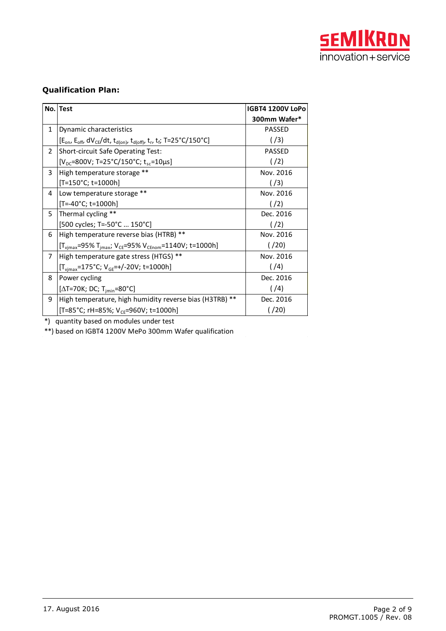

## **Qualification Plan:**

|                | No. Test                                                                                                | <b>IGBT4 1200V LoPo</b> |
|----------------|---------------------------------------------------------------------------------------------------------|-------------------------|
|                |                                                                                                         | 300mm Wafer*            |
| $\mathbf{1}$   | Dynamic characteristics                                                                                 | <b>PASSED</b>           |
|                | $[E_{on}, E_{off}, dV_{CE}/dt, t_{d(on)}, t_{d(off)}, t_r, t_f; T=25^{\circ}C/150^{\circ}C]$            | ( /3)                   |
| $\overline{2}$ | <b>Short-circuit Safe Operating Test:</b>                                                               | <b>PASSED</b>           |
|                | [ $V_{DC}$ =800V; T=25°C/150°C; t <sub>sc</sub> =10µs]                                                  | ( / 2)                  |
| 3              | High temperature storage **                                                                             | Nov. 2016               |
|                | [T=150°C; t=1000h]                                                                                      | ( /3)                   |
| 4              | Low temperature storage **                                                                              | Nov. 2016               |
|                | $[T=.40°C; t=1000h]$                                                                                    | (72)                    |
| 5              | Thermal cycling **                                                                                      | Dec. 2016               |
|                | [500 cycles; T=-50°C  150°C]                                                                            | ( / 2)                  |
| 6              | High temperature reverse bias (HTRB) **                                                                 | Nov. 2016               |
|                | $[T_{\text{vimax}} = 95\% \ T_{\text{imax}}; V_{\text{CE}} = 95\% V_{\text{CEnom}} = 1140V; t = 1000h]$ | ( / 20)                 |
| 7              | High temperature gate stress (HTGS) **                                                                  | Nov. 2016               |
|                | $[T_{\text{vimax}} = 175^{\circ}C; V_{\text{GE}} = +/-20V; t = 1000h]$                                  | (74)                    |
| 8              | Power cycling                                                                                           | Dec. 2016               |
|                | [ΔT=70K; DC; T <sub>imin</sub> =80°C]                                                                   | ( / 4)                  |
| 9              | High temperature, high humidity reverse bias (H3TRB) **                                                 | Dec. 2016               |
|                | [T=85°C; rH=85%; $V_{CF}$ =960V; t=1000h]                                                               | ( / 20)                 |

\*) quantity based on modules under test

\*\*) based on IGBT4 1200V MePo 300mm Wafer qualification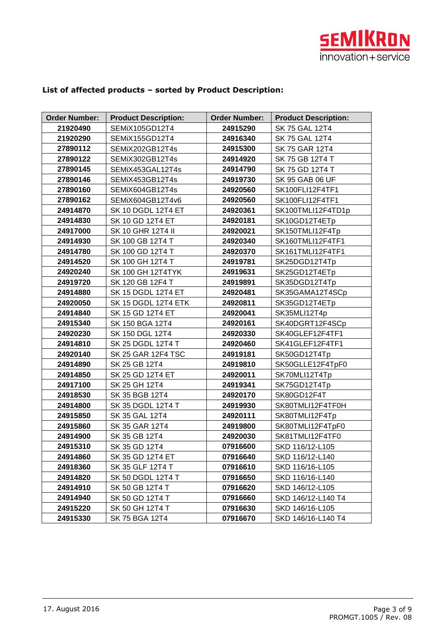

#### **Order Number: Product Description: Order Number: Product Description:** SEMiX105GD12T4 **24915290** SK 75 GAL 12T4 SEMIX155GD12T4 **24916340** SK 75 GAL 12T4 SEMiX202GB12T4s **1254915300** SK 75 GAR 12T4 SEMiX302GB12T4s **24914920** SK 75 GB 12T4 T SEMiX453GAL12T4s **24914790** SK 75 GD 12T4 T SEMiX453GB12T4s **24919730** SK 95 GAB 06 UF SEMiX604GB12T4s **24920560** SK100FLI12F4TF1 SEMiX604GB12T4v6 | **24920560** SK100FLI12F4TF1 SK 10 DGDL 12T4 ET **24920361** SK100TMLI12F4TD1p SK 10 GD 12T4 ET **24920181** SK10GD12T4ETp SK 10 GHR 12T4 II **24920021** SK150TMLI12F4Tp SK 100 GB 12T4 T **24920340** SK160TMLI12F4TF1 SK 100 GD 12T4 T **24920370** SK161TMLI12F4TF1 SK 100 GH 12T4 T **24919781** SK25DGD12T4Tp SK 100 GH 12T4TYK **24919631** SK25GD12T4ETp SK 120 GB 12F4 T **24919891** SK35DGD12T4Tp SK 15 DGDL 12T4 ET **24920481** SK35GAMA12T4SCp SK 15 DGDL 12T4 ETK **24920811** SK35GD12T4ETp SK 15 GD 12T4 ET **24920041** SK35MLI12T4p SK 150 BGA 12T4 **24920161** SK40DGRT12F4SCp SK 150 DGL 12T4 **24920330** SK40GLEF12F4TF1 SK 25 DGDL 12T4 T **24920460** SK41GLEF12F4TF1 SK 25 GAR 12F4 TSC **24919181** SK50GD12T4Tp SK 25 GB 12T4 **24919810** SK50GLLE12F4TpF0 SK 25 GD 12T4 ET **24920011** SK70MLI12T4Tp SK 25 GH 12T4 **24919341** SK75GD12T4Tp SK 35 BGB 12T4 **24920170** SK80GD12F4T SK 35 DGDL 12T4 T **24919930** SK80TMLI12F4TF0H SK 35 GAL 12T4 **24920111** SK80TMLI12F4Tp SK 35 GAR 12T4 **24919800** SK80TMLI12F4TpF0 SK 35 GB 12T4 **24920030** SK81TMLI12F4TF0 SK 35 GD 12T4 **07916600** SKD 116/12-L105 SK 35 GD 12T4 ET **07916640** SKD 116/12-L140 SK 35 GLF 12T4 T **07916610** SKD 116/16-L105 SK 50 DGDL 12T4 T **07916650** SKD 116/16-L140 SK 50 GB 12T4 T **07916620** SKD 146/12-L105 24914940 | SK 50 GD 12T4 T | 07916660 | SKD 146/12-L140 T4 SK 50 GH 12T4 T **07916630** SKD 146/16-L105 SK 75 BGA 12T4 **07916670** SKD 146/16-L140 T4

#### **List of affected products – sorted by Product Description:**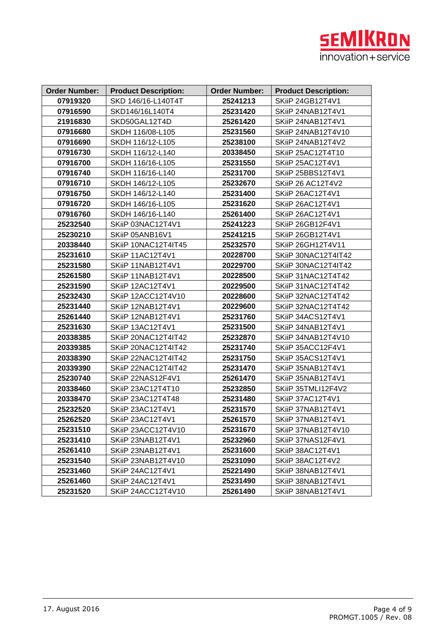

| <b>Order Number:</b> | <b>Product Description:</b> | <b>Order Number:</b> | <b>Product Description:</b> |
|----------------------|-----------------------------|----------------------|-----------------------------|
| 07919320             | SKD 146/16-L140T4T          | 25241213             | SKiiP 24GB12T4V1            |
| 07916590             | SKD146/16L140T4             | 25231420             | SKiiP 24NAB12T4V1           |
| 21916830             | SKD50GAL12T4D               | 25261420             | SKiiP 24NAB12T4V1           |
| 07916680             | SKDH 116/08-L105            | 25231560             | SKiiP 24NAB12T4V10          |
| 07916690             | SKDH 116/12-L105            | 25238100             | SKiiP 24NAB12T4V2           |
| 07916730             | SKDH 116/12-L140            | 20338450             | SKiiP 25AC12T4T10           |
| 07916700             | SKDH 116/16-L105            | 25231550             | SKiiP 25AC12T4V1            |
| 07916740             | SKDH 116/16-L140            | 25231700             | SKiiP 25BBS12T4V1           |
| 07916710             | SKDH 146/12-L105            | 25232670             | <b>SKiiP 26 AC12T4V2</b>    |
| 07916750             | SKDH 146/12-L140            | 25231400             | SKiiP 26AC12T4V1            |
| 07916720             | SKDH 146/16-L105            | 25231620             | SKiiP 26AC12T4V1            |
| 07916760             | SKDH 146/16-L140            | 25261400             | SKiiP 26AC12T4V1            |
| 25232540             | SKiiP 03NAC12T4V1           | 25241223             | SKiiP 26GB12F4V1            |
| 25230210             | SKiiP 05ANB16V1             | 25241215             | SKiiP 26GB12T4V1            |
| 20338440             | SKiiP 10NAC12T4IT45         | 25232570             | SKiiP 26GH12T4V11           |
| 25231610             | SKiiP 11AC12T4V1            | 20228700             | SKiiP 30NAC12T4IT42         |
| 25231580             | SKiiP 11NAB12T4V1           | 20229700             | SKiiP 30NAC12T4IT42         |
| 25261580             | SKiiP 11NAB12T4V1           | 20228500             | SKiiP 31NAC12T4T42          |
| 25231590             | SKiiP 12AC12T4V1            | 20229500             | SKiiP 31NAC12T4T42          |
| 25232430             | SKiiP 12ACC12T4V10          | 20228600             | SKiiP 32NAC12T4T42          |
| 25231440             | SKiiP 12NAB12T4V1           | 20229600             | SKiiP 32NAC12T4T42          |
| 25261440             | SKiiP 12NAB12T4V1           | 25231760             | SKiiP 34ACS12T4V1           |
| 25231630             | SKiiP 13AC12T4V1            | 25231500             | SKiiP 34NAB12T4V1           |
| 20338385             | SKiiP 20NAC12T4IT42         | 25232870             | SKiiP 34NAB12T4V10          |
| 20339385             | SKiiP 20NAC12T4IT42         | 25231740             | SKiiP 35ACC12F4V1           |
| 20338390             | SKiiP 22NAC12T4IT42         | 25231750             | SKiiP 35ACS12T4V1           |
| 20339390             | SKiiP 22NAC12T4IT42         | 25231470             | SKiiP 35NAB12T4V1           |
| 25230740             | SKiiP 22NAS12F4V1           | 25261470             | SKiiP 35NAB12T4V1           |
| 20338460             | SKiiP 23AC12T4T10           | 25232850             | SKiiP 35TMLI12F4V2          |
| 20338470             | SKiiP 23AC12T4T48           | 25231480             | SKiiP 37AC12T4V1            |
| 25232520             | SKiiP 23AC12T4V1            | 25231570             | SKiiP 37NAB12T4V1           |
| 25262520             | SKiiP 23AC12T4V1            | 25261570             | SKiiP 37NAB12T4V1           |
| 25231510             | SKiiP 23ACC12T4V10          | 25231670             | SKiiP 37NAB12T4V10          |
| 25231410             | SKiiP 23NAB12T4V1           | 25232960             | SKiiP 37NAS12F4V1           |
| 25261410             | SKiiP 23NAB12T4V1           | 25231600             | SKiiP 38AC12T4V1            |
| 25231540             | SKiiP 23NAB12T4V10          | 25231090             | SKiiP 38AC12T4V2            |
| 25231460             | SKiiP 24AC12T4V1            | 25221490             | SKiiP 38NAB12T4V1           |
| 25261460             | SKiiP 24AC12T4V1            | 25231490             | SKiiP 38NAB12T4V1           |
| 25231520             | SKiiP 24ACC12T4V10          | 25261490             | SKiiP 38NAB12T4V1           |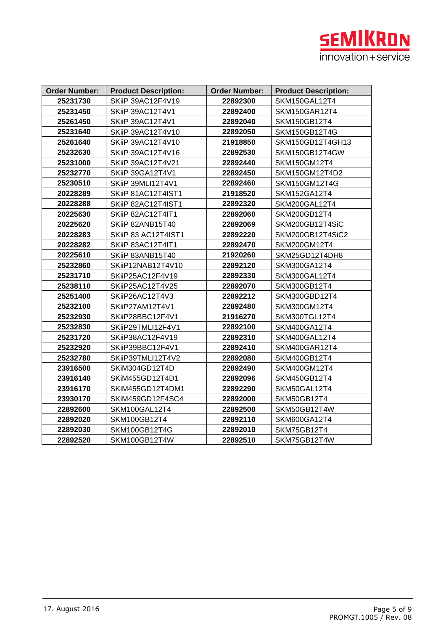

| <b>Order Number:</b> | <b>Product Description:</b> | <b>Order Number:</b> | <b>Product Description:</b> |
|----------------------|-----------------------------|----------------------|-----------------------------|
| 25231730             | <b>SKiiP 39AC12F4V19</b>    | 22892300             | SKM150GAL12T4               |
| 25231450             | SKiiP 39AC12T4V1            | 22892400             | SKM150GAR12T4               |
| 25261450             | SKiiP 39AC12T4V1            | 22892040             | SKM150GB12T4                |
| 25231640             | SKiiP 39AC12T4V10           | 22892050             | SKM150GB12T4G               |
| 25261640             | SKiiP 39AC12T4V10           | 21918850             | SKM150GB12T4GH13            |
| 25232630             | <b>SKiiP 39AC12T4V16</b>    | 22892530             | SKM150GB12T4GW              |
| 25231000             | <b>SKiiP 39AC12T4V21</b>    | 22892440             | <b>SKM150GM12T4</b>         |
| 25232770             | SKiiP 39GA12T4V1            | 22892450             | SKM150GM12T4D2              |
| 25230510             | SKiiP 39MLI12T4V1           | 22892460             | SKM150GM12T4G               |
| 20228289             | SKiiP 81AC12T4IST1          | 21918520             | <b>SKM152GA12T4</b>         |
| 20228288             | SKiiP 82AC12T4IST1          | 22892320             | <b>SKM200GAL12T4</b>        |
| 20225630             | SKiiP 82AC12T4IT1           | 22892060             | SKM200GB12T4                |
| 20225620             | SKiiP 82ANB15T40            | 22892069             | SKM200GB12T4SiC             |
| 20228283             | SKiiP 83 AC12T4IST1         | 22892220             | SKM200GB12T4SiC2            |
| 20228282             | SKiiP 83AC12T4IT1           | 22892470             | SKM200GM12T4                |
| 20225610             | SKiiP 83ANB15T40            | 21920260             | SKM25GD12T4DH8              |
| 25232860             | SKiiP12NAB12T4V10           | 22892120             | SKM300GA12T4                |
| 25231710             | SKiiP25AC12F4V19            | 22892330             | SKM300GAL12T4               |
| 25238110             | SKiiP25AC12T4V25            | 22892070             | SKM300GB12T4                |
| 25251400             | SKiiP26AC12T4V3             | 22892212             | SKM300GBD12T4               |
| 25232100             | SKiiP27AM12T4V1             | 22892480             | SKM300GM12T4                |
| 25232930             | SKiiP28BBC12F4V1            | 21916270             | SKM300TGL12T4               |
| 25232830             | SKiiP29TMLI12F4V1           | 22892100             | <b>SKM400GA12T4</b>         |
| 25231720             | SKiiP38AC12F4V19            | 22892310             | SKM400GAL12T4               |
| 25232920             | SKiiP39BBC12F4V1            | 22892410             | SKM400GAR12T4               |
| 25232780             | SKiiP39TMLI12T4V2           | 22892080             | SKM400GB12T4                |
| 23916500             | SKiM304GD12T4D              | 22892490             | SKM400GM12T4                |
| 23916140             | SKiM455GD12T4D1             | 22892096             | SKM450GB12T4                |
| 23916170             | SKiM455GD12T4DM1            | 22892290             | SKM50GAL12T4                |
| 23930170             | SKiM459GD12F4SC4            | 22892000             | SKM50GB12T4                 |
| 22892600             | SKM100GAL12T4               | 22892500             | SKM50GB12T4W                |
| 22892020             | SKM100GB12T4                | 22892110             | <b>SKM600GA12T4</b>         |
| 22892030             | SKM100GB12T4G               | 22892010             | SKM75GB12T4                 |
| 22892520             | SKM100GB12T4W               | 22892510             | SKM75GB12T4W                |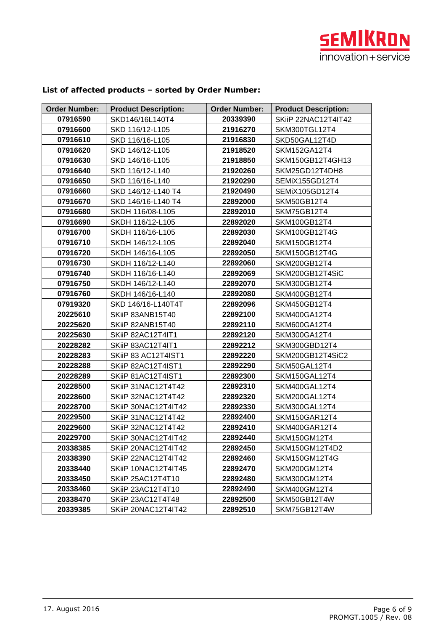

| <b>Order Number:</b> | <b>Product Description:</b> | <b>Order Number:</b> | <b>Product Description:</b> |  |
|----------------------|-----------------------------|----------------------|-----------------------------|--|
| 07916590             | SKD146/16L140T4             | 20339390             | SKiiP 22NAC12T4IT42         |  |
| 07916600             | SKD 116/12-L105             | 21916270             | SKM300TGL12T4               |  |
| 07916610             | SKD 116/16-L105             | 21916830             | SKD50GAL12T4D               |  |
| 07916620             | SKD 146/12-L105             | 21918520             | SKM152GA12T4                |  |
| 07916630             | SKD 146/16-L105             | 21918850             | SKM150GB12T4GH13            |  |
| 07916640             | SKD 116/12-L140             | 21920260             | SKM25GD12T4DH8              |  |
| 07916650             | SKD 116/16-L140             | 21920290             | SEMIX155GD12T4              |  |
| 07916660             | SKD 146/12-L140 T4          | 21920490             | SEMiX105GD12T4              |  |
| 07916670             | SKD 146/16-L140 T4          | 22892000             | SKM50GB12T4                 |  |
| 07916680             | SKDH 116/08-L105            | 22892010             | SKM75GB12T4                 |  |
| 07916690             | SKDH 116/12-L105            | 22892020             | SKM100GB12T4                |  |
| 07916700             | SKDH 116/16-L105            | 22892030             | SKM100GB12T4G               |  |
| 07916710             | SKDH 146/12-L105            | 22892040             | SKM150GB12T4                |  |
| 07916720             | SKDH 146/16-L105            | 22892050             | SKM150GB12T4G               |  |
| 07916730             | SKDH 116/12-L140            | 22892060             | SKM200GB12T4                |  |
| 07916740             | SKDH 116/16-L140            | 22892069             | SKM200GB12T4SiC             |  |
| 07916750             | SKDH 146/12-L140            | 22892070             | SKM300GB12T4                |  |
| 07916760             | SKDH 146/16-L140            | 22892080             | SKM400GB12T4                |  |
| 07919320             | SKD 146/16-L140T4T          | 22892096             | SKM450GB12T4                |  |
| 20225610             | SKiiP 83ANB15T40            | 22892100             | SKM400GA12T4                |  |
| 20225620             | SKiiP 82ANB15T40            | 22892110             | SKM600GA12T4                |  |
| 20225630             | SKiiP 82AC12T4IT1           | 22892120             | SKM300GA12T4                |  |
| 20228282             | SKiiP 83AC12T4IT1           | 22892212             | SKM300GBD12T4               |  |
| 20228283             | SKiiP 83 AC12T4IST1         | 22892220             | SKM200GB12T4SiC2            |  |
| 20228288             | SKiiP 82AC12T4IST1          | 22892290             | SKM50GAL12T4                |  |
| 20228289             | SKiiP 81AC12T4IST1          | 22892300             | SKM150GAL12T4               |  |
| 20228500             | SKiiP 31NAC12T4T42          | 22892310             | SKM400GAL12T4               |  |
| 20228600             | SKiiP 32NAC12T4T42          | 22892320             | SKM200GAL12T4               |  |
| 20228700             | SKiiP 30NAC12T4IT42         | 22892330             | SKM300GAL12T4               |  |
| 20229500             | SKiiP 31NAC12T4T42          | 22892400             | SKM150GAR12T4               |  |
| 20229600             | SKiiP 32NAC12T4T42          | 22892410             | SKM400GAR12T4               |  |
| 20229700             | SKiiP 30NAC12T4IT42         | 22892440             | SKM150GM12T4                |  |
| 20338385             | SKiiP 20NAC12T4IT42         | 22892450             | SKM150GM12T4D2              |  |
| 20338390             | SKiiP 22NAC12T4IT42         | 22892460             | SKM150GM12T4G               |  |
| 20338440             | SKiiP 10NAC12T4IT45         | 22892470             | SKM200GM12T4                |  |
| 20338450             | SKiiP 25AC12T4T10           | 22892480             | SKM300GM12T4                |  |
| 20338460             | SKiiP 23AC12T4T10           | 22892490             | SKM400GM12T4                |  |
| 20338470             | SKiiP 23AC12T4T48           | 22892500             | SKM50GB12T4W                |  |
| 20339385             | SKiiP 20NAC12T4IT42         | 22892510             | SKM75GB12T4W                |  |

## **List of affected products – sorted by Order Number:**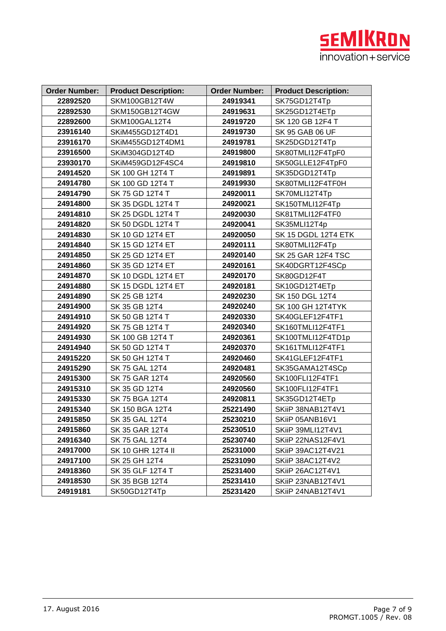

| <b>Order Number:</b> | <b>Product Description:</b> | <b>Order Number:</b> | <b>Product Description:</b> |
|----------------------|-----------------------------|----------------------|-----------------------------|
| 22892520             | SKM100GB12T4W               | 24919341             | SK75GD12T4Tp                |
| 22892530             | SKM150GB12T4GW              | 24919631             | SK25GD12T4ETp               |
| 22892600             | SKM100GAL12T4               | 24919720             | SK 120 GB 12F4 T            |
| 23916140             | SKiM455GD12T4D1             | 24919730             | <b>SK 95 GAB 06 UF</b>      |
| 23916170             | SKiM455GD12T4DM1            | 24919781             | SK25DGD12T4Tp               |
| 23916500             | SKiM304GD12T4D              | 24919800             | SK80TMLI12F4TpF0            |
| 23930170             | SKiM459GD12F4SC4            | 24919810             | SK50GLLE12F4TpF0            |
| 24914520             | SK 100 GH 12T4 T            | 24919891             | SK35DGD12T4Tp               |
| 24914780             | SK 100 GD 12T4 T            | 24919930             | SK80TMLI12F4TF0H            |
| 24914790             | SK 75 GD 12T4 T             | 24920011             | SK70MLI12T4Tp               |
| 24914800             | SK 35 DGDL 12T4 T           | 24920021             | SK150TMLI12F4Tp             |
| 24914810             | SK 25 DGDL 12T4 T           | 24920030             | SK81TMLI12F4TF0             |
| 24914820             | SK 50 DGDL 12T4 T           | 24920041             | SK35MLI12T4p                |
| 24914830             | SK 10 GD 12T4 ET            | 24920050             | SK 15 DGDL 12T4 ETK         |
| 24914840             | SK 15 GD 12T4 ET            | 24920111             | SK80TMLI12F4Tp              |
| 24914850             | SK 25 GD 12T4 ET            | 24920140             | SK 25 GAR 12F4 TSC          |
| 24914860             | SK 35 GD 12T4 ET            | 24920161             | SK40DGRT12F4SCp             |
| 24914870             | SK 10 DGDL 12T4 ET          | 24920170             | SK80GD12F4T                 |
| 24914880             | SK 15 DGDL 12T4 ET          | 24920181             | SK10GD12T4ETp               |
| 24914890             | SK 25 GB 12T4               | 24920230             | SK 150 DGL 12T4             |
| 24914900             | SK 35 GB 12T4               | 24920240             | <b>SK 100 GH 12T4TYK</b>    |
| 24914910             | SK 50 GB 12T4 T             | 24920330             | SK40GLEF12F4TF1             |
| 24914920             | SK 75 GB 12T4 T             | 24920340             | SK160TMLI12F4TF1            |
| 24914930             | SK 100 GB 12T4 T            | 24920361             | SK100TMLI12F4TD1p           |
| 24914940             | SK 50 GD 12T4 T             | 24920370             | SK161TMLI12F4TF1            |
| 24915220             | SK 50 GH 12T4 T             | 24920460             | SK41GLEF12F4TF1             |
| 24915290             | SK 75 GAL 12T4              | 24920481             | SK35GAMA12T4SCp             |
| 24915300             | <b>SK 75 GAR 12T4</b>       | 24920560             | SK100FLI12F4TF1             |
| 24915310             | SK 35 GD 12T4               | 24920560             | SK100FLI12F4TF1             |
| 24915330             | SK 75 BGA 12T4              | 24920811             | SK35GD12T4ETp               |
| 24915340             | SK 150 BGA 12T4             | 25221490             | SKiiP 38NAB12T4V1           |
| 24915850             | SK 35 GAL 12T4              | 25230210             | SKiiP 05ANB16V1             |
| 24915860             | SK 35 GAR 12T4              | 25230510             | SKiiP 39MLI12T4V1           |
| 24916340             | SK 75 GAL 12T4              | 25230740             | SKiiP 22NAS12F4V1           |
| 24917000             | <b>SK 10 GHR 12T4 II</b>    | 25231000             | <b>SKiiP 39AC12T4V21</b>    |
| 24917100             | SK 25 GH 12T4               | 25231090             | SKiiP 38AC12T4V2            |
| 24918360             | SK 35 GLF 12T4 T            | 25231400             | SKiiP 26AC12T4V1            |
| 24918530             | SK 35 BGB 12T4              | 25231410             | SKiiP 23NAB12T4V1           |
| 24919181             | SK50GD12T4Tp                | 25231420             | SKiiP 24NAB12T4V1           |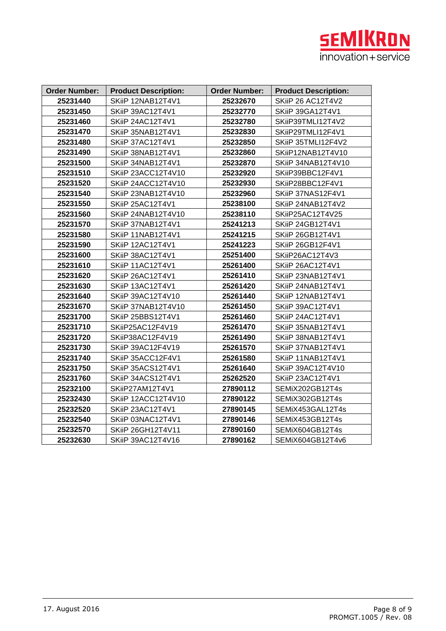

| <b>Order Number:</b> | <b>Product Description:</b> | <b>Order Number:</b> | <b>Product Description:</b> |
|----------------------|-----------------------------|----------------------|-----------------------------|
| 25231440             | SKiiP 12NAB12T4V1           | 25232670             | SKiiP 26 AC12T4V2           |
| 25231450             | SKiiP 39AC12T4V1            | 25232770             | SKiiP 39GA12T4V1            |
| 25231460             | SKiiP 24AC12T4V1            | 25232780             | SKiiP39TMLI12T4V2           |
| 25231470             | SKiiP 35NAB12T4V1           | 25232830             | SKiiP29TMLI12F4V1           |
| 25231480             | SKiiP 37AC12T4V1            | 25232850             | SKiiP 35TMLI12F4V2          |
| 25231490             | SKiiP 38NAB12T4V1           | 25232860             | SKiiP12NAB12T4V10           |
| 25231500             | SKiiP 34NAB12T4V1           | 25232870             | SKiiP 34NAB12T4V10          |
| 25231510             | SKiiP 23ACC12T4V10          | 25232920             | SKiiP39BBC12F4V1            |
| 25231520             | SKiiP 24ACC12T4V10          | 25232930             | SKiiP28BBC12F4V1            |
| 25231540             | SKiiP 23NAB12T4V10          | 25232960             | SKiiP 37NAS12F4V1           |
| 25231550             | SKiiP 25AC12T4V1            | 25238100             | SKiiP 24NAB12T4V2           |
| 25231560             | SKiiP 24NAB12T4V10          | 25238110             | SKiiP25AC12T4V25            |
| 25231570             | SKiiP 37NAB12T4V1           | 25241213             | SKiiP 24GB12T4V1            |
| 25231580             | SKiiP 11NAB12T4V1           | 25241215             | SKiiP 26GB12T4V1            |
| 25231590             | SKiiP 12AC12T4V1            | 25241223             | SKiiP 26GB12F4V1            |
| 25231600             | SKiiP 38AC12T4V1            | 25251400             | SKiiP26AC12T4V3             |
| 25231610             | SKiiP 11AC12T4V1            | 25261400             | SKiiP 26AC12T4V1            |
| 25231620             | SKiiP 26AC12T4V1            | 25261410             | SKiiP 23NAB12T4V1           |
| 25231630             | SKiiP 13AC12T4V1            | 25261420             | SKiiP 24NAB12T4V1           |
| 25231640             | <b>SKiiP 39AC12T4V10</b>    | 25261440             | SKiiP 12NAB12T4V1           |
| 25231670             | SKiiP 37NAB12T4V10          | 25261450             | SKiiP 39AC12T4V1            |
| 25231700             | SKiiP 25BBS12T4V1           | 25261460             | SKiiP 24AC12T4V1            |
| 25231710             | SKiiP25AC12F4V19            | 25261470             | SKiiP 35NAB12T4V1           |
| 25231720             | SKiiP38AC12F4V19            | 25261490             | SKiiP 38NAB12T4V1           |
| 25231730             | <b>SKiiP 39AC12F4V19</b>    | 25261570             | SKiiP 37NAB12T4V1           |
| 25231740             | SKiiP 35ACC12F4V1           | 25261580             | SKiiP 11NAB12T4V1           |
| 25231750             | SKiiP 35ACS12T4V1           | 25261640             | <b>SKiiP 39AC12T4V10</b>    |
| 25231760             | SKiiP 34ACS12T4V1           | 25262520             | SKiiP 23AC12T4V1            |
| 25232100             | SKiiP27AM12T4V1             | 27890112             | SEMiX202GB12T4s             |
| 25232430             | SKiiP 12ACC12T4V10          | 27890122             | SEMiX302GB12T4s             |
| 25232520             | SKiiP 23AC12T4V1            | 27890145             | SEMIX453GAL12T4s            |
| 25232540             | SKiiP 03NAC12T4V1           | 27890146             | SEMiX453GB12T4s             |
| 25232570             | SKiiP 26GH12T4V11           | 27890160             | SEMiX604GB12T4s             |
| 25232630             | <b>SKiiP 39AC12T4V16</b>    | 27890162             | SEMIX604GB12T4v6            |